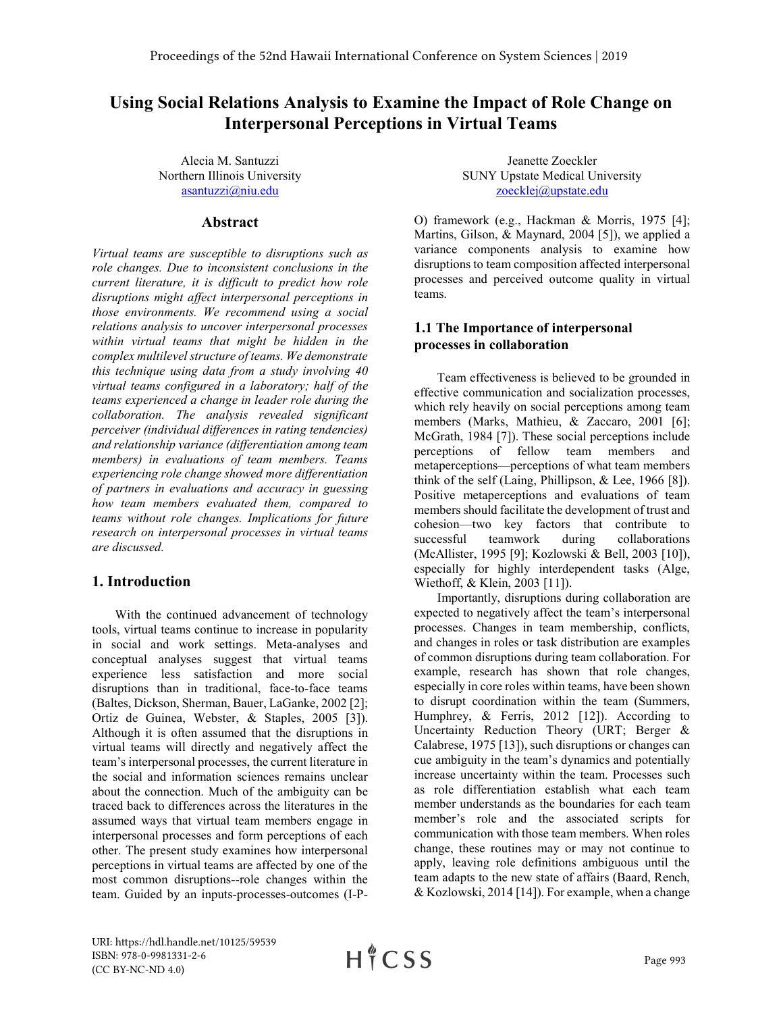# Using Social Relations Analysis to Examine the Impact of Role Change on Interpersonal Perceptions in Virtual Teams

Alecia M. Santuzzi Northern Illinois University asantuzzi@niu.edu

# Abstract

Virtual teams are susceptible to disruptions such as role changes. Due to inconsistent conclusions in the current literature, it is difficult to predict how role disruptions might affect interpersonal perceptions in those environments. We recommend using a social relations analysis to uncover interpersonal processes within virtual teams that might be hidden in the complex multilevel structure of teams. We demonstrate this technique using data from a study involving 40 virtual teams configured in a laboratory; half of the teams experienced a change in leader role during the collaboration. The analysis revealed significant perceiver (individual differences in rating tendencies) and relationship variance (differentiation among team members) in evaluations of team members. Teams experiencing role change showed more differentiation of partners in evaluations and accuracy in guessing how team members evaluated them, compared to teams without role changes. Implications for future research on interpersonal processes in virtual teams are discussed.

# 1. Introduction

With the continued advancement of technology tools, virtual teams continue to increase in popularity in social and work settings. Meta-analyses and conceptual analyses suggest that virtual teams experience less satisfaction and more social disruptions than in traditional, face-to-face teams (Baltes, Dickson, Sherman, Bauer, LaGanke, 2002 [2]; Ortiz de Guinea, Webster, & Staples, 2005 [3]). Although it is often assumed that the disruptions in virtual teams will directly and negatively affect the team's interpersonal processes, the current literature in the social and information sciences remains unclear about the connection. Much of the ambiguity can be traced back to differences across the literatures in the assumed ways that virtual team members engage in interpersonal processes and form perceptions of each other. The present study examines how interpersonal perceptions in virtual teams are affected by one of the most common disruptions--role changes within the team. Guided by an inputs-processes-outcomes (I-P-

Jeanette Zoeckler SUNY Upstate Medical University zoecklej@upstate.edu

O) framework (e.g., Hackman & Morris, 1975 [4]; Martins, Gilson, & Maynard, 2004 [5]), we applied a variance components analysis to examine how disruptions to team composition affected interpersonal processes and perceived outcome quality in virtual teams.

# 1.1 The Importance of interpersonal processes in collaboration

Team effectiveness is believed to be grounded in effective communication and socialization processes, which rely heavily on social perceptions among team members (Marks, Mathieu, & Zaccaro, 2001 [6]; McGrath, 1984 [7]). These social perceptions include perceptions of fellow team members and metaperceptions—perceptions of what team members think of the self (Laing, Phillipson, & Lee, 1966 [8]). Positive metaperceptions and evaluations of team members should facilitate the development of trust and cohesion—two key factors that contribute to successful teamwork during collaborations (McAllister, 1995 [9]; Kozlowski & Bell, 2003 [10]), especially for highly interdependent tasks (Alge, Wiethoff, & Klein, 2003 [11]).

Importantly, disruptions during collaboration are expected to negatively affect the team's interpersonal processes. Changes in team membership, conflicts, and changes in roles or task distribution are examples of common disruptions during team collaboration. For example, research has shown that role changes, especially in core roles within teams, have been shown to disrupt coordination within the team (Summers, Humphrey, & Ferris, 2012 [12]). According to Uncertainty Reduction Theory (URT; Berger & Calabrese, 1975 [13]), such disruptions or changes can cue ambiguity in the team's dynamics and potentially increase uncertainty within the team. Processes such as role differentiation establish what each team member understands as the boundaries for each team member's role and the associated scripts for communication with those team members. When roles change, these routines may or may not continue to apply, leaving role definitions ambiguous until the team adapts to the new state of affairs (Baard, Rench, & Kozlowski, 2014 [14]). For example, when a change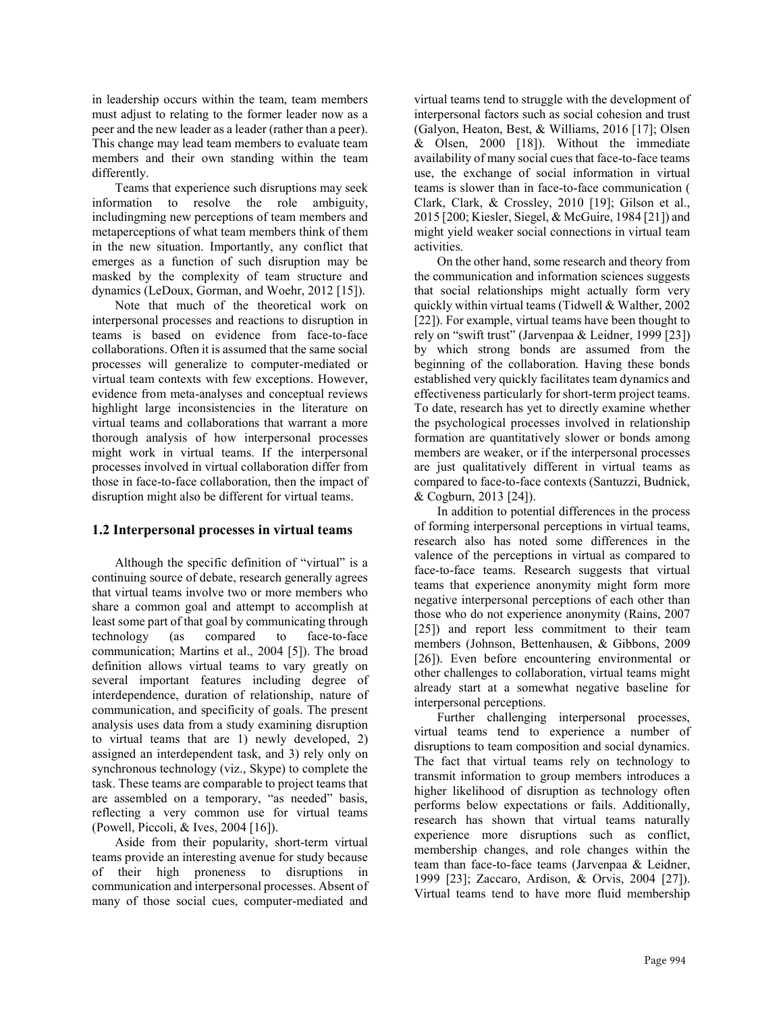in leadership occurs within the team, team members must adjust to relating to the former leader now as a peer and the new leader as a leader (rather than a peer). This change may lead team members to evaluate team members and their own standing within the team differently.

Teams that experience such disruptions may seek information to resolve the role ambiguity, includingming new perceptions of team members and metaperceptions of what team members think of them in the new situation. Importantly, any conflict that emerges as a function of such disruption may be masked by the complexity of team structure and dynamics (LeDoux, Gorman, and Woehr, 2012 [15]).

Note that much of the theoretical work on interpersonal processes and reactions to disruption in teams is based on evidence from face-to-face collaborations. Often it is assumed that the same social processes will generalize to computer-mediated or virtual team contexts with few exceptions. However, evidence from meta-analyses and conceptual reviews highlight large inconsistencies in the literature on virtual teams and collaborations that warrant a more thorough analysis of how interpersonal processes might work in virtual teams. If the interpersonal processes involved in virtual collaboration differ from those in face-to-face collaboration, then the impact of disruption might also be different for virtual teams.

### 1.2 Interpersonal processes in virtual teams

Although the specific definition of "virtual" is a continuing source of debate, research generally agrees that virtual teams involve two or more members who share a common goal and attempt to accomplish at least some part of that goal by communicating through technology (as compared to face-to-face communication; Martins et al., 2004 [5]). The broad definition allows virtual teams to vary greatly on several important features including degree of interdependence, duration of relationship, nature of communication, and specificity of goals. The present analysis uses data from a study examining disruption to virtual teams that are 1) newly developed, 2) assigned an interdependent task, and 3) rely only on synchronous technology (viz., Skype) to complete the task. These teams are comparable to project teams that are assembled on a temporary, "as needed" basis, reflecting a very common use for virtual teams (Powell, Piccoli, & Ives, 2004 [16]).

Aside from their popularity, short-term virtual teams provide an interesting avenue for study because of their high proneness to disruptions in communication and interpersonal processes. Absent of many of those social cues, computer-mediated and

virtual teams tend to struggle with the development of interpersonal factors such as social cohesion and trust (Galyon, Heaton, Best, & Williams, 2016 [17]; Olsen & Olsen, 2000 [18]). Without the immediate availability of many social cues that face-to-face teams use, the exchange of social information in virtual teams is slower than in face-to-face communication ( Clark, Clark, & Crossley, 2010 [19]; Gilson et al., 2015 [200; Kiesler, Siegel, & McGuire, 1984 [21]) and might yield weaker social connections in virtual team activities.

On the other hand, some research and theory from the communication and information sciences suggests that social relationships might actually form very quickly within virtual teams (Tidwell & Walther, 2002 [22]). For example, virtual teams have been thought to rely on "swift trust" (Jarvenpaa & Leidner, 1999 [23]) by which strong bonds are assumed from the beginning of the collaboration. Having these bonds established very quickly facilitates team dynamics and effectiveness particularly for short-term project teams. To date, research has yet to directly examine whether the psychological processes involved in relationship formation are quantitatively slower or bonds among members are weaker, or if the interpersonal processes are just qualitatively different in virtual teams as compared to face-to-face contexts (Santuzzi, Budnick, & Cogburn, 2013 [24]).

In addition to potential differences in the process of forming interpersonal perceptions in virtual teams, research also has noted some differences in the valence of the perceptions in virtual as compared to face-to-face teams. Research suggests that virtual teams that experience anonymity might form more negative interpersonal perceptions of each other than those who do not experience anonymity (Rains, 2007 [25]) and report less commitment to their team members (Johnson, Bettenhausen, & Gibbons, 2009 [26]). Even before encountering environmental or other challenges to collaboration, virtual teams might already start at a somewhat negative baseline for interpersonal perceptions.

Further challenging interpersonal processes, virtual teams tend to experience a number of disruptions to team composition and social dynamics. The fact that virtual teams rely on technology to transmit information to group members introduces a higher likelihood of disruption as technology often performs below expectations or fails. Additionally, research has shown that virtual teams naturally experience more disruptions such as conflict, membership changes, and role changes within the team than face-to-face teams (Jarvenpaa & Leidner, 1999 [23]; Zaccaro, Ardison, & Orvis, 2004 [27]). Virtual teams tend to have more fluid membership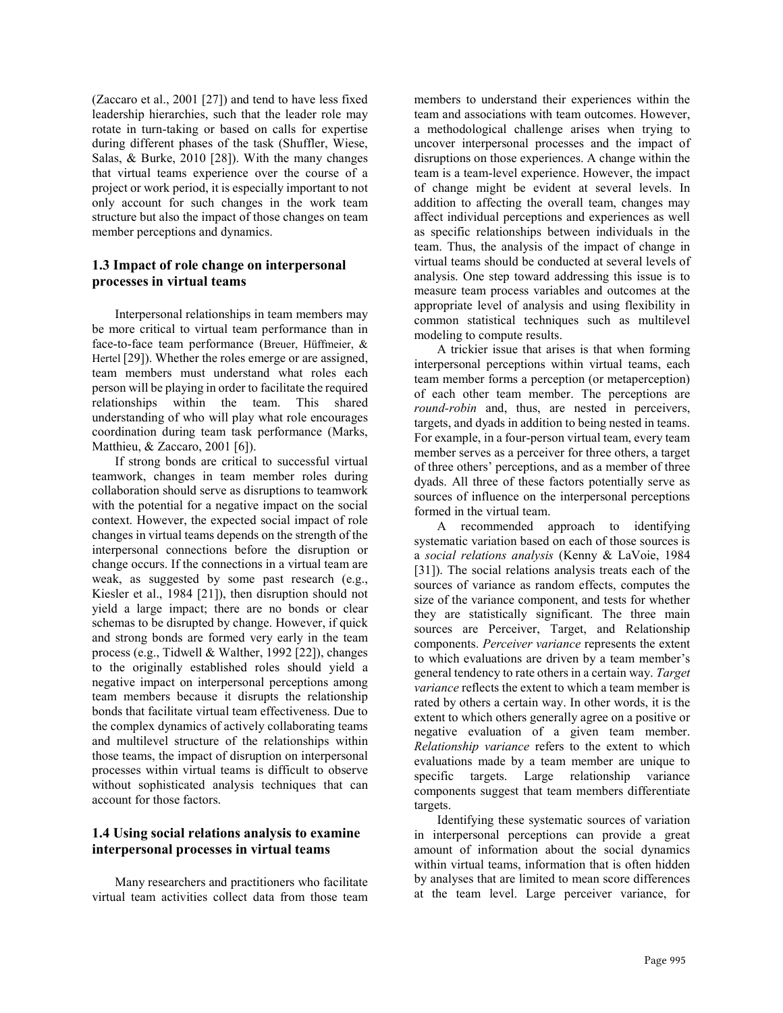(Zaccaro et al., 2001 [27]) and tend to have less fixed leadership hierarchies, such that the leader role may rotate in turn-taking or based on calls for expertise during different phases of the task (Shuffler, Wiese, Salas, & Burke, 2010 [28]). With the many changes that virtual teams experience over the course of a project or work period, it is especially important to not only account for such changes in the work team structure but also the impact of those changes on team member perceptions and dynamics.

### 1.3 Impact of role change on interpersonal processes in virtual teams

Interpersonal relationships in team members may be more critical to virtual team performance than in face-to-face team performance (Breuer, Hüffmeier, & Hertel [29]). Whether the roles emerge or are assigned, team members must understand what roles each person will be playing in order to facilitate the required relationships within the team. This shared understanding of who will play what role encourages coordination during team task performance (Marks, Matthieu, & Zaccaro, 2001 [6]).

If strong bonds are critical to successful virtual teamwork, changes in team member roles during collaboration should serve as disruptions to teamwork with the potential for a negative impact on the social context. However, the expected social impact of role changes in virtual teams depends on the strength of the interpersonal connections before the disruption or change occurs. If the connections in a virtual team are weak, as suggested by some past research (e.g., Kiesler et al., 1984 [21]), then disruption should not yield a large impact; there are no bonds or clear schemas to be disrupted by change. However, if quick and strong bonds are formed very early in the team process (e.g., Tidwell & Walther, 1992 [22]), changes to the originally established roles should yield a negative impact on interpersonal perceptions among team members because it disrupts the relationship bonds that facilitate virtual team effectiveness. Due to the complex dynamics of actively collaborating teams and multilevel structure of the relationships within those teams, the impact of disruption on interpersonal processes within virtual teams is difficult to observe without sophisticated analysis techniques that can account for those factors.

# 1.4 Using social relations analysis to examine interpersonal processes in virtual teams

Many researchers and practitioners who facilitate virtual team activities collect data from those team members to understand their experiences within the team and associations with team outcomes. However, a methodological challenge arises when trying to uncover interpersonal processes and the impact of disruptions on those experiences. A change within the team is a team-level experience. However, the impact of change might be evident at several levels. In addition to affecting the overall team, changes may affect individual perceptions and experiences as well as specific relationships between individuals in the team. Thus, the analysis of the impact of change in virtual teams should be conducted at several levels of analysis. One step toward addressing this issue is to measure team process variables and outcomes at the appropriate level of analysis and using flexibility in common statistical techniques such as multilevel modeling to compute results.

A trickier issue that arises is that when forming interpersonal perceptions within virtual teams, each team member forms a perception (or metaperception) of each other team member. The perceptions are round-robin and, thus, are nested in perceivers, targets, and dyads in addition to being nested in teams. For example, in a four-person virtual team, every team member serves as a perceiver for three others, a target of three others' perceptions, and as a member of three dyads. All three of these factors potentially serve as sources of influence on the interpersonal perceptions formed in the virtual team.

A recommended approach to identifying systematic variation based on each of those sources is a social relations analysis (Kenny & LaVoie, 1984 [31]). The social relations analysis treats each of the sources of variance as random effects, computes the size of the variance component, and tests for whether they are statistically significant. The three main sources are Perceiver, Target, and Relationship components. Perceiver variance represents the extent to which evaluations are driven by a team member's general tendency to rate others in a certain way. Target variance reflects the extent to which a team member is rated by others a certain way. In other words, it is the extent to which others generally agree on a positive or negative evaluation of a given team member. Relationship variance refers to the extent to which evaluations made by a team member are unique to specific targets. Large relationship variance components suggest that team members differentiate targets.

Identifying these systematic sources of variation in interpersonal perceptions can provide a great amount of information about the social dynamics within virtual teams, information that is often hidden by analyses that are limited to mean score differences at the team level. Large perceiver variance, for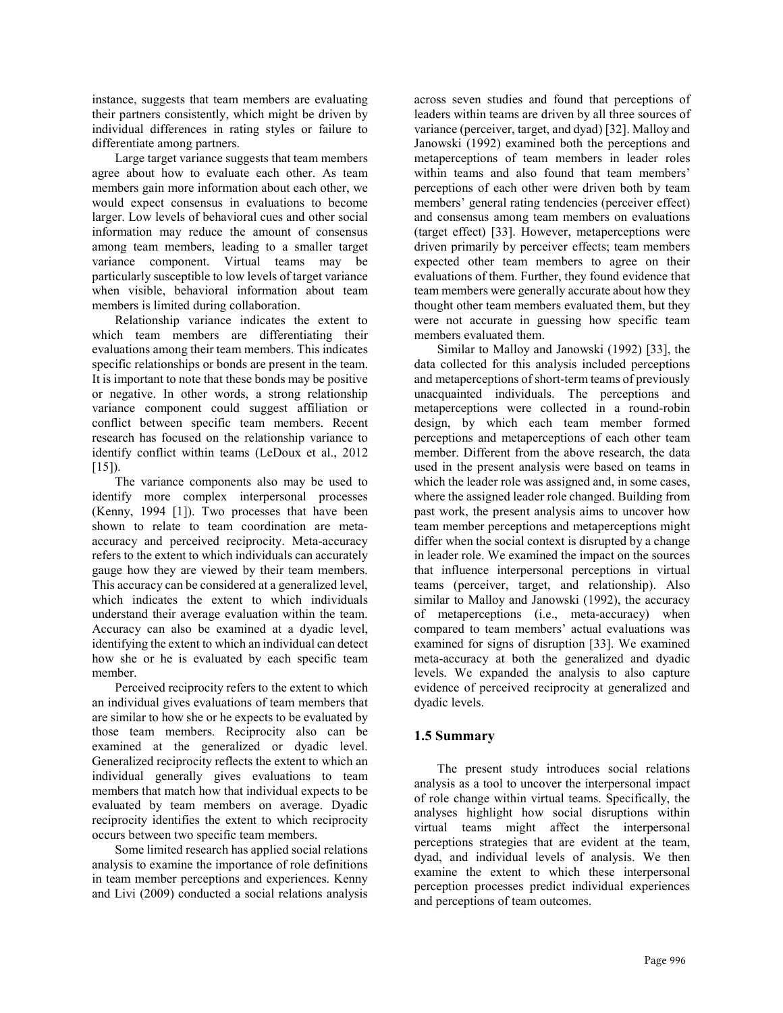instance, suggests that team members are evaluating their partners consistently, which might be driven by individual differences in rating styles or failure to differentiate among partners.

Large target variance suggests that team members agree about how to evaluate each other. As team members gain more information about each other, we would expect consensus in evaluations to become larger. Low levels of behavioral cues and other social information may reduce the amount of consensus among team members, leading to a smaller target variance component. Virtual teams may be particularly susceptible to low levels of target variance when visible, behavioral information about team members is limited during collaboration.

Relationship variance indicates the extent to which team members are differentiating their evaluations among their team members. This indicates specific relationships or bonds are present in the team. It is important to note that these bonds may be positive or negative. In other words, a strong relationship variance component could suggest affiliation or conflict between specific team members. Recent research has focused on the relationship variance to identify conflict within teams (LeDoux et al., 2012 [15]).

The variance components also may be used to identify more complex interpersonal processes (Kenny, 1994 [1]). Two processes that have been shown to relate to team coordination are metaaccuracy and perceived reciprocity. Meta-accuracy refers to the extent to which individuals can accurately gauge how they are viewed by their team members. This accuracy can be considered at a generalized level, which indicates the extent to which individuals understand their average evaluation within the team. Accuracy can also be examined at a dyadic level, identifying the extent to which an individual can detect how she or he is evaluated by each specific team member.

Perceived reciprocity refers to the extent to which an individual gives evaluations of team members that are similar to how she or he expects to be evaluated by those team members. Reciprocity also can be examined at the generalized or dyadic level. Generalized reciprocity reflects the extent to which an individual generally gives evaluations to team members that match how that individual expects to be evaluated by team members on average. Dyadic reciprocity identifies the extent to which reciprocity occurs between two specific team members.

Some limited research has applied social relations analysis to examine the importance of role definitions in team member perceptions and experiences. Kenny and Livi (2009) conducted a social relations analysis across seven studies and found that perceptions of leaders within teams are driven by all three sources of variance (perceiver, target, and dyad) [32]. Malloy and Janowski (1992) examined both the perceptions and metaperceptions of team members in leader roles within teams and also found that team members' perceptions of each other were driven both by team members' general rating tendencies (perceiver effect) and consensus among team members on evaluations (target effect) [33]. However, metaperceptions were driven primarily by perceiver effects; team members expected other team members to agree on their evaluations of them. Further, they found evidence that team members were generally accurate about how they thought other team members evaluated them, but they were not accurate in guessing how specific team members evaluated them.

Similar to Malloy and Janowski (1992) [33], the data collected for this analysis included perceptions and metaperceptions of short-term teams of previously unacquainted individuals. The perceptions and metaperceptions were collected in a round-robin design, by which each team member formed perceptions and metaperceptions of each other team member. Different from the above research, the data used in the present analysis were based on teams in which the leader role was assigned and, in some cases, where the assigned leader role changed. Building from past work, the present analysis aims to uncover how team member perceptions and metaperceptions might differ when the social context is disrupted by a change in leader role. We examined the impact on the sources that influence interpersonal perceptions in virtual teams (perceiver, target, and relationship). Also similar to Malloy and Janowski (1992), the accuracy of metaperceptions (i.e., meta-accuracy) when compared to team members' actual evaluations was examined for signs of disruption [33]. We examined meta-accuracy at both the generalized and dyadic levels. We expanded the analysis to also capture evidence of perceived reciprocity at generalized and dyadic levels.

# 1.5 Summary

The present study introduces social relations analysis as a tool to uncover the interpersonal impact of role change within virtual teams. Specifically, the analyses highlight how social disruptions within virtual teams might affect the interpersonal perceptions strategies that are evident at the team, dyad, and individual levels of analysis. We then examine the extent to which these interpersonal perception processes predict individual experiences and perceptions of team outcomes.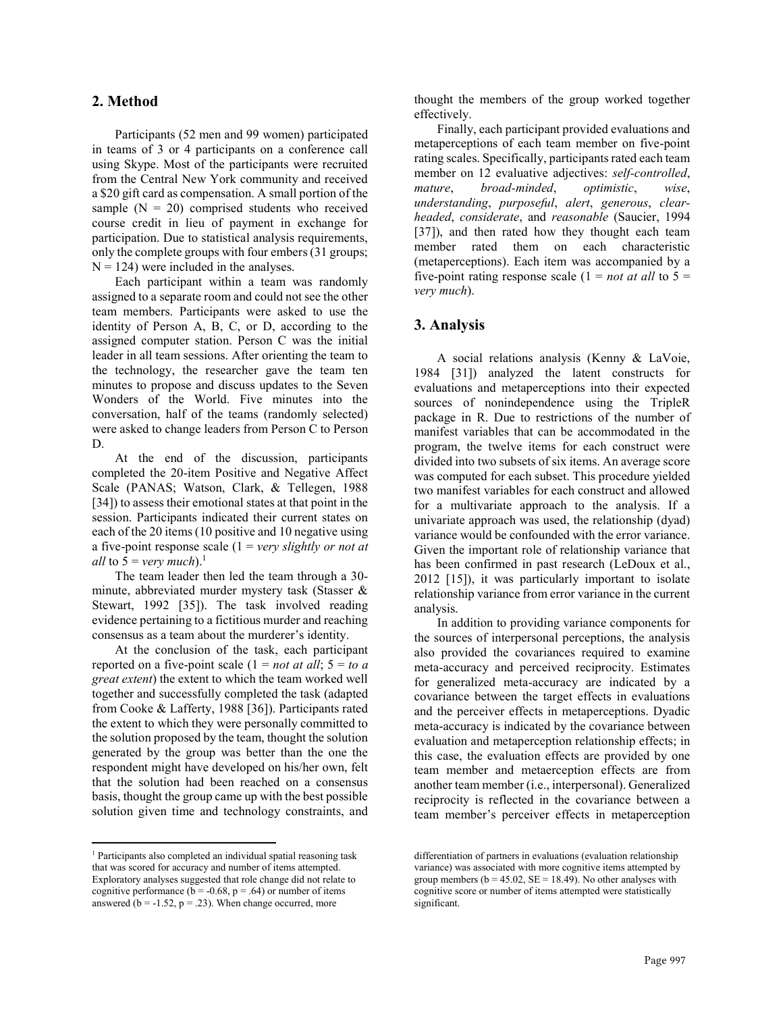### 2. Method

Participants (52 men and 99 women) participated in teams of 3 or 4 participants on a conference call using Skype. Most of the participants were recruited from the Central New York community and received a \$20 gift card as compensation. A small portion of the sample  $(N = 20)$  comprised students who received course credit in lieu of payment in exchange for participation. Due to statistical analysis requirements, only the complete groups with four embers (31 groups;  $N = 124$ ) were included in the analyses.

Each participant within a team was randomly assigned to a separate room and could not see the other team members. Participants were asked to use the identity of Person A, B, C, or D, according to the assigned computer station. Person C was the initial leader in all team sessions. After orienting the team to the technology, the researcher gave the team ten minutes to propose and discuss updates to the Seven Wonders of the World. Five minutes into the conversation, half of the teams (randomly selected) were asked to change leaders from Person C to Person D.

At the end of the discussion, participants completed the 20-item Positive and Negative Affect Scale (PANAS; Watson, Clark, & Tellegen, 1988 [34]) to assess their emotional states at that point in the session. Participants indicated their current states on each of the 20 items (10 positive and 10 negative using a five-point response scale  $(1 = \text{very slightly or not at})$ *all* to  $5 = \text{very much}.$ <sup>1</sup>

The team leader then led the team through a 30 minute, abbreviated murder mystery task (Stasser & Stewart, 1992 [35]). The task involved reading evidence pertaining to a fictitious murder and reaching consensus as a team about the murderer's identity.

At the conclusion of the task, each participant reported on a five-point scale  $(1 = not at all; 5 = to a)$ great extent) the extent to which the team worked well together and successfully completed the task (adapted from Cooke & Lafferty, 1988 [36]). Participants rated the extent to which they were personally committed to the solution proposed by the team, thought the solution generated by the group was better than the one the respondent might have developed on his/her own, felt that the solution had been reached on a consensus basis, thought the group came up with the best possible solution given time and technology constraints, and

 $\overline{a}$ 

thought the members of the group worked together effectively.

Finally, each participant provided evaluations and metaperceptions of each team member on five-point rating scales. Specifically, participants rated each team member on 12 evaluative adjectives: self-controlled, mature, broad-minded, optimistic, wise, understanding, purposeful, alert, generous, clearheaded, considerate, and reasonable (Saucier, 1994 [37]), and then rated how they thought each team member rated them on each characteristic (metaperceptions). Each item was accompanied by a five-point rating response scale  $(1 = not at all to 5 =$ very much).

### 3. Analysis

A social relations analysis (Kenny & LaVoie, 1984 [31]) analyzed the latent constructs for evaluations and metaperceptions into their expected sources of nonindependence using the TripleR package in R. Due to restrictions of the number of manifest variables that can be accommodated in the program, the twelve items for each construct were divided into two subsets of six items. An average score was computed for each subset. This procedure yielded two manifest variables for each construct and allowed for a multivariate approach to the analysis. If a univariate approach was used, the relationship (dyad) variance would be confounded with the error variance. Given the important role of relationship variance that has been confirmed in past research (LeDoux et al., 2012 [15]), it was particularly important to isolate relationship variance from error variance in the current analysis.

In addition to providing variance components for the sources of interpersonal perceptions, the analysis also provided the covariances required to examine meta-accuracy and perceived reciprocity. Estimates for generalized meta-accuracy are indicated by a covariance between the target effects in evaluations and the perceiver effects in metaperceptions. Dyadic meta-accuracy is indicated by the covariance between evaluation and metaperception relationship effects; in this case, the evaluation effects are provided by one team member and metaerception effects are from another team member (i.e., interpersonal). Generalized reciprocity is reflected in the covariance between a team member's perceiver effects in metaperception

<sup>&</sup>lt;sup>1</sup> Participants also completed an individual spatial reasoning task that was scored for accuracy and number of items attempted. Exploratory analyses suggested that role change did not relate to cognitive performance ( $\bar{b}$  = -0.68, p = .64) or number of items answered  $(b = -1.52, p = .23)$ . When change occurred, more

differentiation of partners in evaluations (evaluation relationship variance) was associated with more cognitive items attempted by group members ( $b = 45.02$ ,  $SE = 18.49$ ). No other analyses with cognitive score or number of items attempted were statistically significant.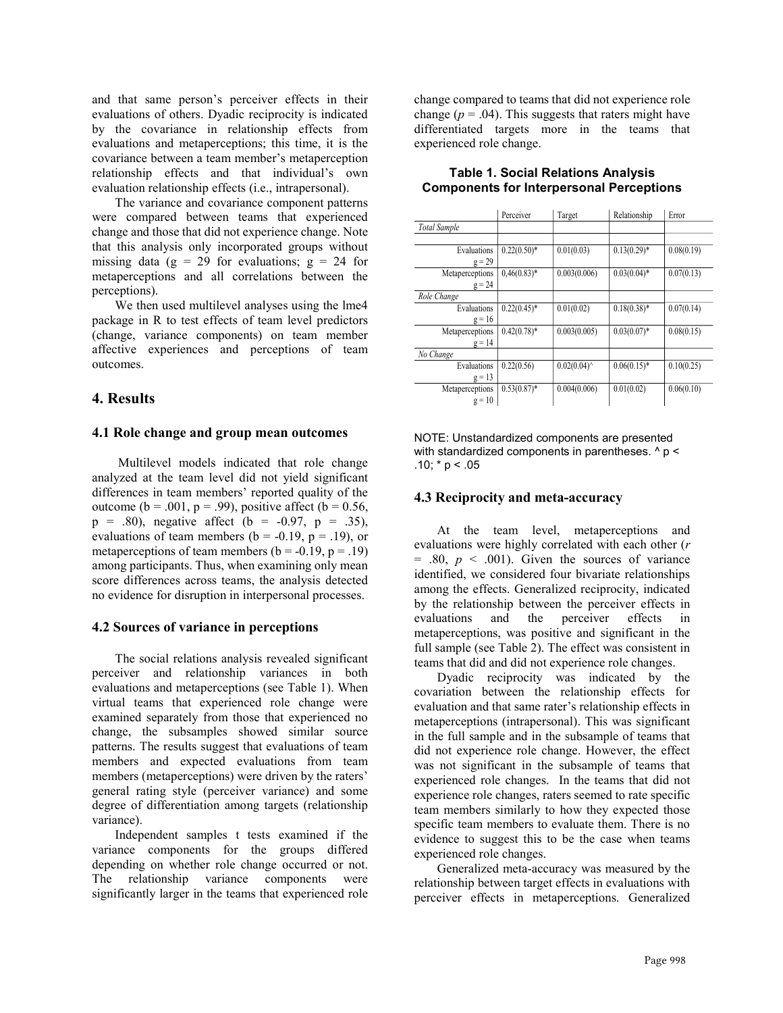and that same person's perceiver effects in their evaluations of others. Dyadic reciprocity is indicated by the covariance in relationship effects from evaluations and metaperceptions; this time, it is the covariance between a team member's metaperception relationship effects and that individual's own evaluation relationship effects (i.e., intrapersonal).

The variance and covariance component patterns were compared between teams that experienced change and those that did not experience change. Note that this analysis only incorporated groups without missing data ( $g = 29$  for evaluations;  $g = 24$  for metaperceptions and all correlations between the perceptions).

We then used multilevel analyses using the lme4 package in R to test effects of team level predictors (change, variance components) on team member affective experiences and perceptions of team outcomes.

# 4. Results

### 4.1 Role change and group mean outcomes

 Multilevel models indicated that role change analyzed at the team level did not yield significant differences in team members' reported quality of the outcome ( $b = .001$ ,  $p = .99$ ), positive affect ( $b = 0.56$ ,  $p = .80$ , negative affect (b = -0.97, p = .35), evaluations of team members ( $b = -0.19$ ,  $p = .19$ ), or metaperceptions of team members  $(b = -0.19, p = .19)$ among participants. Thus, when examining only mean score differences across teams, the analysis detected no evidence for disruption in interpersonal processes.

### 4.2 Sources of variance in perceptions

The social relations analysis revealed significant perceiver and relationship variances in both evaluations and metaperceptions (see Table 1). When virtual teams that experienced role change were examined separately from those that experienced no change, the subsamples showed similar source patterns. The results suggest that evaluations of team members and expected evaluations from team members (metaperceptions) were driven by the raters' general rating style (perceiver variance) and some degree of differentiation among targets (relationship variance).

Independent samples t tests examined if the variance components for the groups differed depending on whether role change occurred or not. The relationship variance components were significantly larger in the teams that experienced role

change compared to teams that did not experience role change ( $p = .04$ ). This suggests that raters might have differentiated targets more in the teams that experienced role change.

|                     | Perceiver      | Target           | Relationship   | Error      |
|---------------------|----------------|------------------|----------------|------------|
| <b>Total Sample</b> |                |                  |                |            |
|                     |                |                  |                |            |
| Evaluations         | $0.22(0.50)*$  | 0.01(0.03)       | $0.13(0.29)$ * | 0.08(0.19) |
| $g = 29$            |                |                  |                |            |
| Metaperceptions     | $0,46(0.83)*$  | 0.003(0.006)     | $0.03(0.04)$ * | 0.07(0.13) |
| $g = 24$            |                |                  |                |            |
| Role Change         |                |                  |                |            |
| Evaluations         | $0.22(0.45)^*$ | 0.01(0.02)       | $0.18(0.38)$ * | 0.07(0.14) |
| $g = 16$            |                |                  |                |            |
| Metaperceptions     | $0.42(0.78)$ * | 0.003(0.005)     | $0.03(0.07)^*$ | 0.08(0.15) |
| $g = 14$            |                |                  |                |            |
| No Change           |                |                  |                |            |
| Evaluations         | 0.22(0.56)     | $0.02(0.04)^{0}$ | $0.06(0.15)^*$ | 0.10(0.25) |
| $g = 13$            |                |                  |                |            |
| Metaperceptions     | $0.53(0.87)^*$ | 0.004(0.006)     | 0.01(0.02)     | 0.06(0.10) |
| $g = 10$            |                |                  |                |            |

#### Table 1. Social Relations Analysis Components for Interpersonal Perceptions

NOTE: Unstandardized components are presented with standardized components in parentheses. ^ p < .10;  $*$  p < .05

### 4.3 Reciprocity and meta-accuracy

At the team level, metaperceptions and evaluations were highly correlated with each other (r  $= .80, p < .001$ . Given the sources of variance identified, we considered four bivariate relationships among the effects. Generalized reciprocity, indicated by the relationship between the perceiver effects in evaluations and the perceiver effects in metaperceptions, was positive and significant in the full sample (see Table 2). The effect was consistent in teams that did and did not experience role changes.

Dyadic reciprocity was indicated by the covariation between the relationship effects for evaluation and that same rater's relationship effects in metaperceptions (intrapersonal). This was significant in the full sample and in the subsample of teams that did not experience role change. However, the effect was not significant in the subsample of teams that experienced role changes. In the teams that did not experience role changes, raters seemed to rate specific team members similarly to how they expected those specific team members to evaluate them. There is no evidence to suggest this to be the case when teams experienced role changes.

Generalized meta-accuracy was measured by the relationship between target effects in evaluations with perceiver effects in metaperceptions. Generalized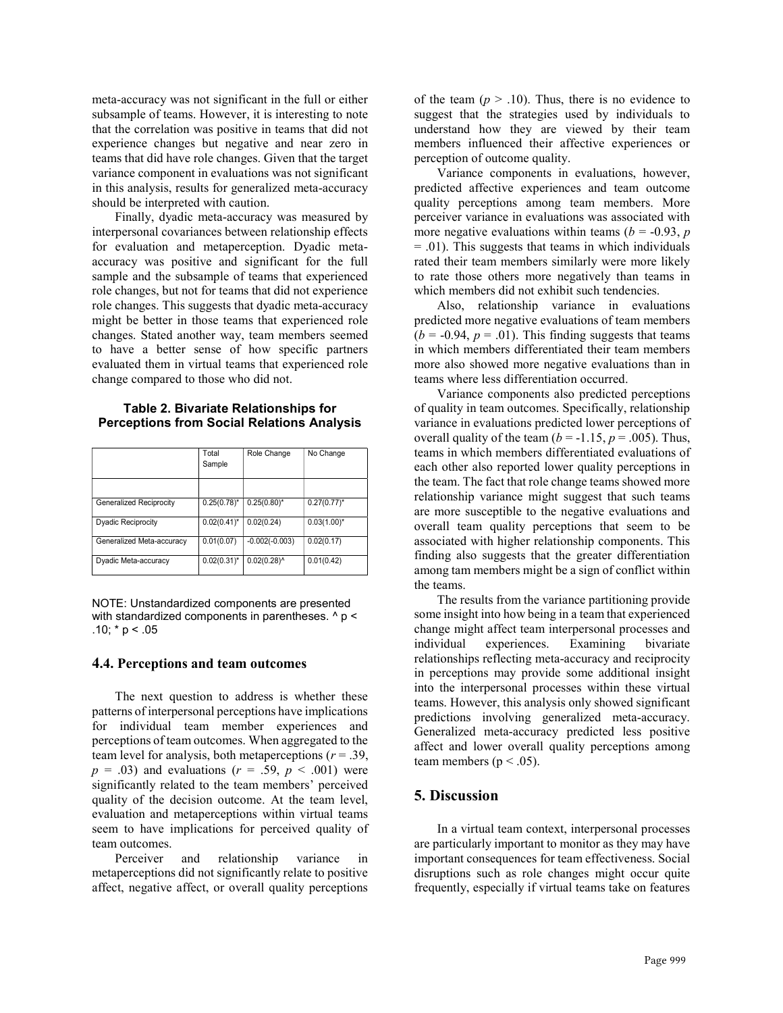meta-accuracy was not significant in the full or either subsample of teams. However, it is interesting to note that the correlation was positive in teams that did not experience changes but negative and near zero in teams that did have role changes. Given that the target variance component in evaluations was not significant in this analysis, results for generalized meta-accuracy should be interpreted with caution.

Finally, dyadic meta-accuracy was measured by interpersonal covariances between relationship effects for evaluation and metaperception. Dyadic metaaccuracy was positive and significant for the full sample and the subsample of teams that experienced role changes, but not for teams that did not experience role changes. This suggests that dyadic meta-accuracy might be better in those teams that experienced role changes. Stated another way, team members seemed to have a better sense of how specific partners evaluated them in virtual teams that experienced role change compared to those who did not.

#### Table 2. Bivariate Relationships for Perceptions from Social Relations Analysis

|                                | Total<br>Sample  | Role Change      | No Change      | teams in<br>each othe<br>the team. |
|--------------------------------|------------------|------------------|----------------|------------------------------------|
| <b>Generalized Reciprocity</b> | $0.25(0.78)^*$   | $0.25(0.80)^{*}$ | $0.27(0.77)^*$ | relationsl<br>are more             |
| <b>Dyadic Reciprocity</b>      | $0.02(0.41)^*$   | 0.02(0.24)       | $0.03(1.00)^*$ | overall t                          |
| Generalized Meta-accuracy      | 0.01(0.07)       | $-0.002(-0.003)$ | 0.02(0.17)     | associate                          |
| Dyadic Meta-accuracy           | $0.02(0.31)^{*}$ | $0.02(0.28)^{A}$ | 0.01(0.42)     | finding a<br>among ta              |

NOTE: Unstandardized components are presented with standardized components in parentheses.  $\land$  p < .10;  $* p < .05$ 

#### 4.4. Perceptions and team outcomes

The next question to address is whether these patterns of interpersonal perceptions have implications for individual team member experiences and perceptions of team outcomes. When aggregated to the team level for analysis, both metaperceptions ( $r = .39$ ,  $p = .03$ ) and evaluations ( $r = .59$ ,  $p < .001$ ) were significantly related to the team members' perceived quality of the decision outcome. At the team level, evaluation and metaperceptions within virtual teams seem to have implications for perceived quality of team outcomes.

Perceiver and relationship variance in metaperceptions did not significantly relate to positive affect, negative affect, or overall quality perceptions of the team ( $p > .10$ ). Thus, there is no evidence to suggest that the strategies used by individuals to understand how they are viewed by their team members influenced their affective experiences or perception of outcome quality.

Variance components in evaluations, however, predicted affective experiences and team outcome quality perceptions among team members. More perceiver variance in evaluations was associated with more negative evaluations within teams ( $b = -0.93$ , p  $= .01$ ). This suggests that teams in which individuals rated their team members similarly were more likely to rate those others more negatively than teams in which members did not exhibit such tendencies.

Also, relationship variance in evaluations predicted more negative evaluations of team members  $(b = -0.94, p = .01)$ . This finding suggests that teams in which members differentiated their team members more also showed more negative evaluations than in teams where less differentiation occurred.

Variance components also predicted perceptions of quality in team outcomes. Specifically, relationship variance in evaluations predicted lower perceptions of overall quality of the team ( $b = -1.15$ ,  $p = .005$ ). Thus, Role Change No Change **teams** in which members differentiated evaluations of each other also reported lower quality perceptions in the team. The fact that role change teams showed more relationship variance might suggest that such teams are more susceptible to the negative evaluations and Dyadic Reciprocity  $(0.02(0.41)^{*} \mid 0.02(0.24)$   $(0.03(1.00)^{*}$  overall team quality perceptions that seem to be Generalized Meta-accuracy 0.01(0.07) -0.002(-0.003) 0.02(0.17) associated with higher relationship components. This finding also suggests that the greater differentiation among tam members might be a sign of conflict within the teams.

The results from the variance partitioning provide some insight into how being in a team that experienced change might affect team interpersonal processes and individual experiences. Examining bivariate relationships reflecting meta-accuracy and reciprocity in perceptions may provide some additional insight into the interpersonal processes within these virtual teams. However, this analysis only showed significant predictions involving generalized meta-accuracy. Generalized meta-accuracy predicted less positive affect and lower overall quality perceptions among team members ( $p < .05$ ).

# 5. Discussion

In a virtual team context, interpersonal processes are particularly important to monitor as they may have important consequences for team effectiveness. Social disruptions such as role changes might occur quite frequently, especially if virtual teams take on features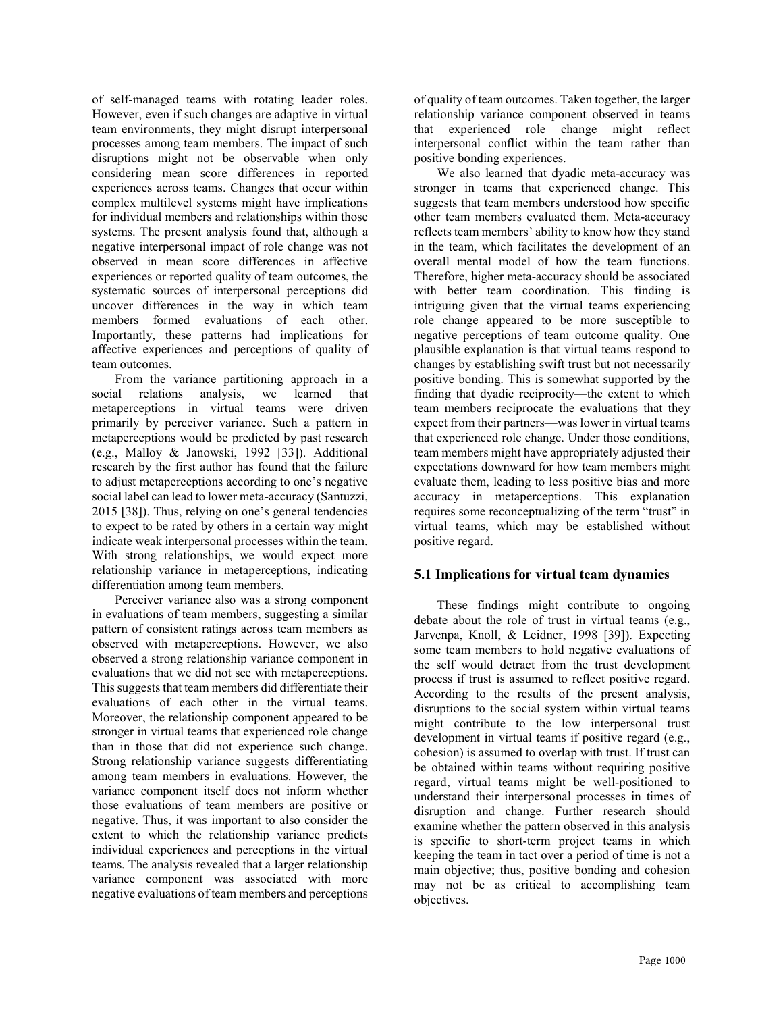of self-managed teams with rotating leader roles. However, even if such changes are adaptive in virtual team environments, they might disrupt interpersonal processes among team members. The impact of such disruptions might not be observable when only considering mean score differences in reported experiences across teams. Changes that occur within complex multilevel systems might have implications for individual members and relationships within those systems. The present analysis found that, although a negative interpersonal impact of role change was not observed in mean score differences in affective experiences or reported quality of team outcomes, the systematic sources of interpersonal perceptions did uncover differences in the way in which team members formed evaluations of each other. Importantly, these patterns had implications for affective experiences and perceptions of quality of team outcomes.

From the variance partitioning approach in a social relations analysis, we learned that metaperceptions in virtual teams were driven primarily by perceiver variance. Such a pattern in metaperceptions would be predicted by past research (e.g., Malloy & Janowski, 1992 [33]). Additional research by the first author has found that the failure to adjust metaperceptions according to one's negative social label can lead to lower meta-accuracy (Santuzzi, 2015 [38]). Thus, relying on one's general tendencies to expect to be rated by others in a certain way might indicate weak interpersonal processes within the team. With strong relationships, we would expect more relationship variance in metaperceptions, indicating differentiation among team members.

Perceiver variance also was a strong component in evaluations of team members, suggesting a similar pattern of consistent ratings across team members as observed with metaperceptions. However, we also observed a strong relationship variance component in evaluations that we did not see with metaperceptions. This suggests that team members did differentiate their evaluations of each other in the virtual teams. Moreover, the relationship component appeared to be stronger in virtual teams that experienced role change than in those that did not experience such change. Strong relationship variance suggests differentiating among team members in evaluations. However, the variance component itself does not inform whether those evaluations of team members are positive or negative. Thus, it was important to also consider the extent to which the relationship variance predicts individual experiences and perceptions in the virtual teams. The analysis revealed that a larger relationship variance component was associated with more negative evaluations of team members and perceptions

of quality of team outcomes. Taken together, the larger relationship variance component observed in teams that experienced role change might reflect interpersonal conflict within the team rather than positive bonding experiences.

We also learned that dyadic meta-accuracy was stronger in teams that experienced change. This suggests that team members understood how specific other team members evaluated them. Meta-accuracy reflects team members' ability to know how they stand in the team, which facilitates the development of an overall mental model of how the team functions. Therefore, higher meta-accuracy should be associated with better team coordination. This finding is intriguing given that the virtual teams experiencing role change appeared to be more susceptible to negative perceptions of team outcome quality. One plausible explanation is that virtual teams respond to changes by establishing swift trust but not necessarily positive bonding. This is somewhat supported by the finding that dyadic reciprocity—the extent to which team members reciprocate the evaluations that they expect from their partners—was lower in virtual teams that experienced role change. Under those conditions, team members might have appropriately adjusted their expectations downward for how team members might evaluate them, leading to less positive bias and more accuracy in metaperceptions. This explanation requires some reconceptualizing of the term "trust" in virtual teams, which may be established without positive regard.

# 5.1 Implications for virtual team dynamics

These findings might contribute to ongoing debate about the role of trust in virtual teams (e.g., Jarvenpa, Knoll, & Leidner, 1998 [39]). Expecting some team members to hold negative evaluations of the self would detract from the trust development process if trust is assumed to reflect positive regard. According to the results of the present analysis, disruptions to the social system within virtual teams might contribute to the low interpersonal trust development in virtual teams if positive regard (e.g., cohesion) is assumed to overlap with trust. If trust can be obtained within teams without requiring positive regard, virtual teams might be well-positioned to understand their interpersonal processes in times of disruption and change. Further research should examine whether the pattern observed in this analysis is specific to short-term project teams in which keeping the team in tact over a period of time is not a main objective; thus, positive bonding and cohesion may not be as critical to accomplishing team objectives.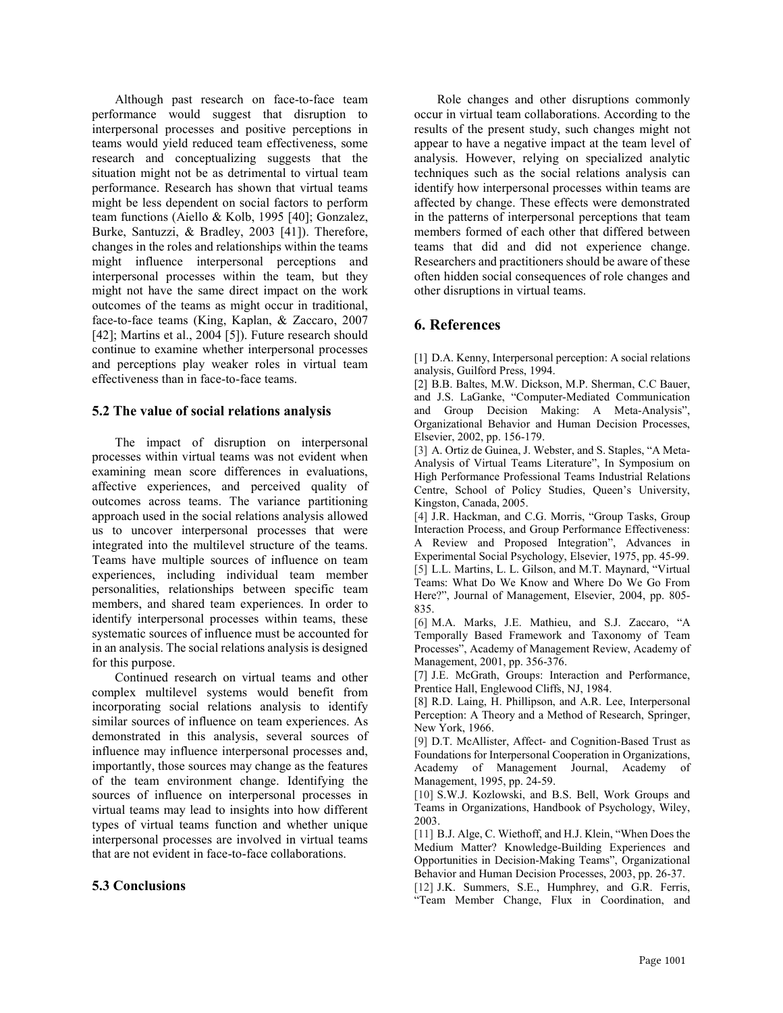Although past research on face-to-face team performance would suggest that disruption to interpersonal processes and positive perceptions in teams would yield reduced team effectiveness, some research and conceptualizing suggests that the situation might not be as detrimental to virtual team performance. Research has shown that virtual teams might be less dependent on social factors to perform team functions (Aiello & Kolb, 1995 [40]; Gonzalez, Burke, Santuzzi, & Bradley, 2003 [41]). Therefore, changes in the roles and relationships within the teams might influence interpersonal perceptions and interpersonal processes within the team, but they might not have the same direct impact on the work outcomes of the teams as might occur in traditional, face-to-face teams (King, Kaplan, & Zaccaro, 2007 [42]; Martins et al., 2004 [5]). Future research should continue to examine whether interpersonal processes and perceptions play weaker roles in virtual team effectiveness than in face-to-face teams.

### 5.2 The value of social relations analysis

The impact of disruption on interpersonal processes within virtual teams was not evident when examining mean score differences in evaluations, affective experiences, and perceived quality of outcomes across teams. The variance partitioning approach used in the social relations analysis allowed us to uncover interpersonal processes that were integrated into the multilevel structure of the teams. Teams have multiple sources of influence on team experiences, including individual team member personalities, relationships between specific team members, and shared team experiences. In order to identify interpersonal processes within teams, these systematic sources of influence must be accounted for in an analysis. The social relations analysis is designed for this purpose.

Continued research on virtual teams and other complex multilevel systems would benefit from incorporating social relations analysis to identify similar sources of influence on team experiences. As demonstrated in this analysis, several sources of influence may influence interpersonal processes and, importantly, those sources may change as the features of the team environment change. Identifying the sources of influence on interpersonal processes in virtual teams may lead to insights into how different types of virtual teams function and whether unique interpersonal processes are involved in virtual teams that are not evident in face-to-face collaborations.

# 5.3 Conclusions

Role changes and other disruptions commonly occur in virtual team collaborations. According to the results of the present study, such changes might not appear to have a negative impact at the team level of analysis. However, relying on specialized analytic techniques such as the social relations analysis can identify how interpersonal processes within teams are affected by change. These effects were demonstrated in the patterns of interpersonal perceptions that team members formed of each other that differed between teams that did and did not experience change. Researchers and practitioners should be aware of these often hidden social consequences of role changes and other disruptions in virtual teams.

# 6. References

[1] D.A. Kenny, Interpersonal perception: A social relations analysis, Guilford Press, 1994.

[2] B.B. Baltes, M.W. Dickson, M.P. Sherman, C.C Bauer, and J.S. LaGanke, "Computer-Mediated Communication and Group Decision Making: A Meta-Analysis", Organizational Behavior and Human Decision Processes, Elsevier, 2002, pp. 156-179.

[3] A. Ortiz de Guinea, J. Webster, and S. Staples, "A Meta-Analysis of Virtual Teams Literature", In Symposium on High Performance Professional Teams Industrial Relations Centre, School of Policy Studies, Queen's University, Kingston, Canada, 2005.

[4] J.R. Hackman, and C.G. Morris, "Group Tasks, Group Interaction Process, and Group Performance Effectiveness: A Review and Proposed Integration", Advances in Experimental Social Psychology, Elsevier, 1975, pp. 45-99. [5] L.L. Martins, L. L. Gilson, and M.T. Maynard, "Virtual Teams: What Do We Know and Where Do We Go From Here?", Journal of Management, Elsevier, 2004, pp. 805- 835.

[6] M.A. Marks, J.E. Mathieu, and S.J. Zaccaro, "A Temporally Based Framework and Taxonomy of Team Processes", Academy of Management Review, Academy of Management, 2001, pp. 356-376.

[7] J.E. McGrath, Groups: Interaction and Performance, Prentice Hall, Englewood Cliffs, NJ, 1984.

[8] R.D. Laing, H. Phillipson, and A.R. Lee, Interpersonal Perception: A Theory and a Method of Research, Springer, New York, 1966.

[9] D.T. McAllister, Affect- and Cognition-Based Trust as Foundations for Interpersonal Cooperation in Organizations, Academy of Management Journal, Academy of Management, 1995, pp. 24-59.

[10] S.W.J. Kozlowski, and B.S. Bell, Work Groups and Teams in Organizations, Handbook of Psychology, Wiley, 2003.

[11] B.J. Alge, C. Wiethoff, and H.J. Klein, "When Does the Medium Matter? Knowledge-Building Experiences and Opportunities in Decision-Making Teams", Organizational Behavior and Human Decision Processes, 2003, pp. 26-37.

[12] J.K. Summers, S.E., Humphrey, and G.R. Ferris, "Team Member Change, Flux in Coordination, and